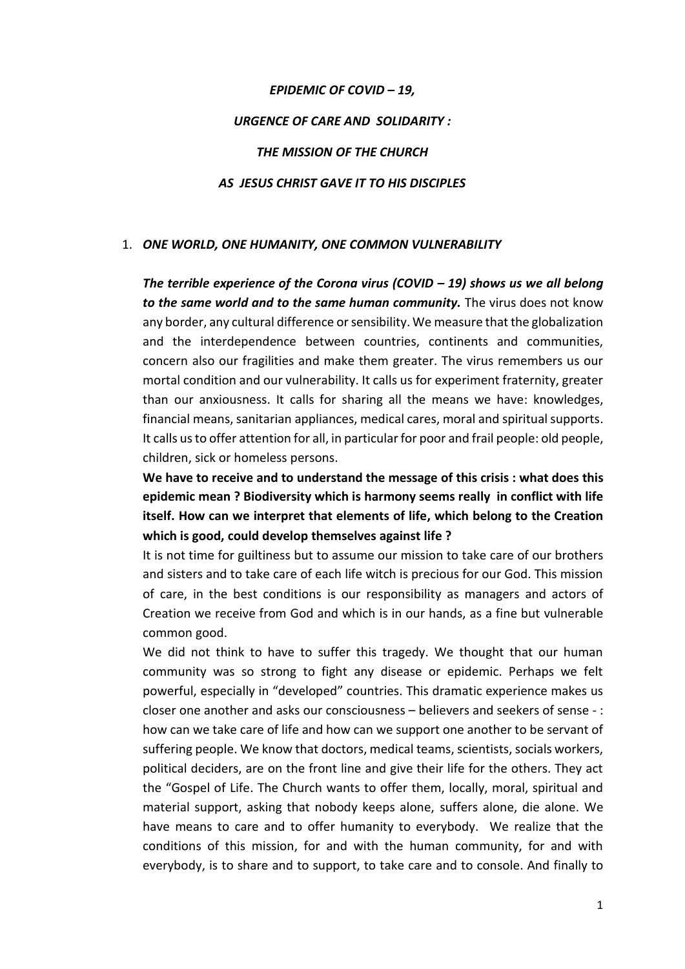# *EPIDEMIC OF COVID – 19, URGENCE OF CARE AND SOLIDARITY : THE MISSION OF THE CHURCH AS JESUS CHRIST GAVE IT TO HIS DISCIPLES*

### 1. *ONE WORLD, ONE HUMANITY, ONE COMMON VULNERABILITY*

*The terrible experience of the Corona virus (COVID – 19) shows us we all belong to the same world and to the same human community.* The virus does not know any border, any cultural difference or sensibility. We measure that the globalization and the interdependence between countries, continents and communities, concern also our fragilities and make them greater. The virus remembers us our mortal condition and our vulnerability. It calls us for experiment fraternity, greater than our anxiousness. It calls for sharing all the means we have: knowledges, financial means, sanitarian appliances, medical cares, moral and spiritual supports. It calls us to offer attention for all, in particular for poor and frail people: old people, children, sick or homeless persons.

**We have to receive and to understand the message of this crisis : what does this epidemic mean ? Biodiversity which is harmony seems really in conflict with life itself. How can we interpret that elements of life, which belong to the Creation which is good, could develop themselves against life ?**

It is not time for guiltiness but to assume our mission to take care of our brothers and sisters and to take care of each life witch is precious for our God. This mission of care, in the best conditions is our responsibility as managers and actors of Creation we receive from God and which is in our hands, as a fine but vulnerable common good.

We did not think to have to suffer this tragedy. We thought that our human community was so strong to fight any disease or epidemic. Perhaps we felt powerful, especially in "developed" countries. This dramatic experience makes us closer one another and asks our consciousness – believers and seekers of sense - : how can we take care of life and how can we support one another to be servant of suffering people. We know that doctors, medical teams, scientists, socials workers, political deciders, are on the front line and give their life for the others. They act the "Gospel of Life. The Church wants to offer them, locally, moral, spiritual and material support, asking that nobody keeps alone, suffers alone, die alone. We have means to care and to offer humanity to everybody. We realize that the conditions of this mission, for and with the human community, for and with everybody, is to share and to support, to take care and to console. And finally to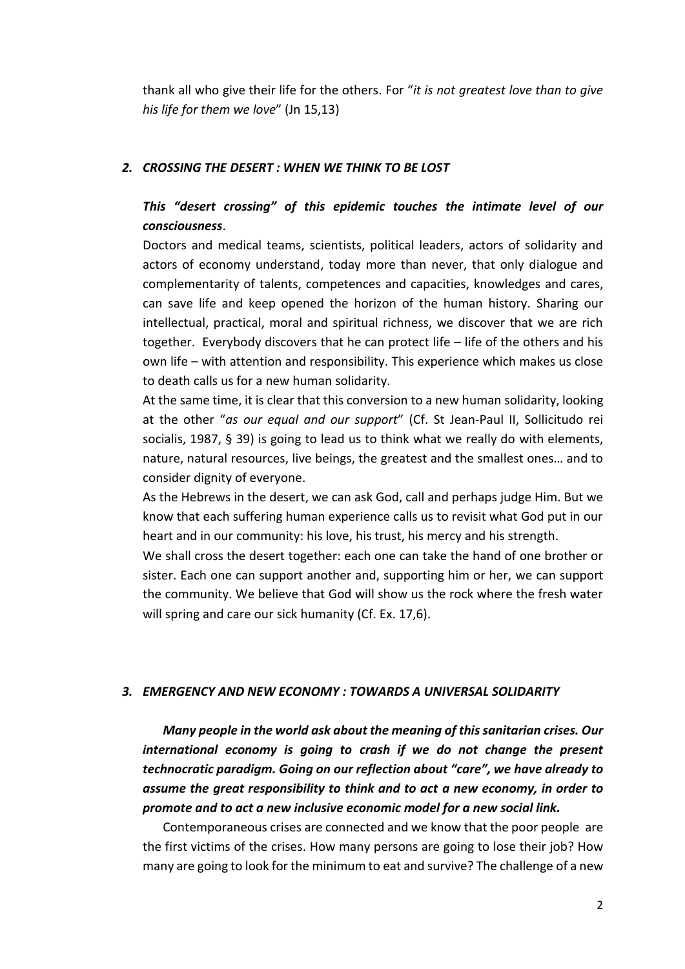thank all who give their life for the others. For "*it is not greatest love than to give his life for them we love*" (Jn 15,13)

#### *2. CROSSING THE DESERT : WHEN WE THINK TO BE LOST*

## *This "desert crossing" of this epidemic touches the intimate level of our consciousness*.

Doctors and medical teams, scientists, political leaders, actors of solidarity and actors of economy understand, today more than never, that only dialogue and complementarity of talents, competences and capacities, knowledges and cares, can save life and keep opened the horizon of the human history. Sharing our intellectual, practical, moral and spiritual richness, we discover that we are rich together. Everybody discovers that he can protect life – life of the others and his own life – with attention and responsibility. This experience which makes us close to death calls us for a new human solidarity.

At the same time, it is clear that this conversion to a new human solidarity, looking at the other "*as our equal and our support*" (Cf. St Jean-Paul II, Sollicitudo rei socialis, 1987, § 39) is going to lead us to think what we really do with elements, nature, natural resources, live beings, the greatest and the smallest ones… and to consider dignity of everyone.

As the Hebrews in the desert, we can ask God, call and perhaps judge Him. But we know that each suffering human experience calls us to revisit what God put in our heart and in our community: his love, his trust, his mercy and his strength.

We shall cross the desert together: each one can take the hand of one brother or sister. Each one can support another and, supporting him or her, we can support the community. We believe that God will show us the rock where the fresh water will spring and care our sick humanity (Cf. Ex. 17,6).

#### *3. EMERGENCY AND NEW ECONOMY : TOWARDS A UNIVERSAL SOLIDARITY*

*Many people in the world ask about the meaning of this sanitarian crises. Our international economy is going to crash if we do not change the present technocratic paradigm. Going on our reflection about "care", we have already to assume the great responsibility to think and to act a new economy, in order to promote and to act a new inclusive economic model for a new social link.* 

Contemporaneous crises are connected and we know that the poor people are the first victims of the crises. How many persons are going to lose their job? How many are going to look for the minimum to eat and survive? The challenge of a new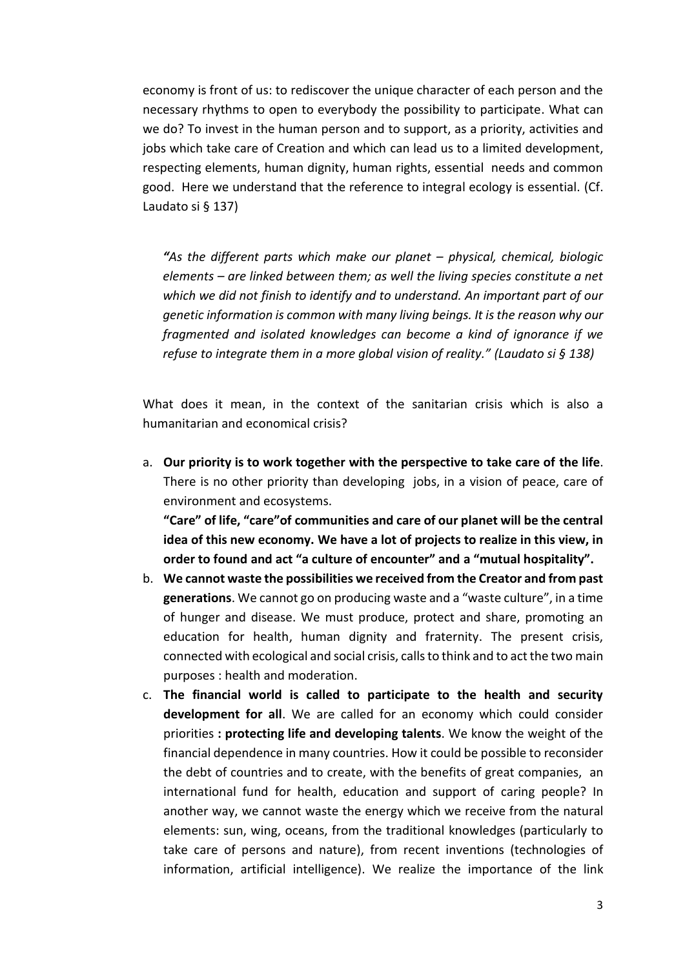economy is front of us: to rediscover the unique character of each person and the necessary rhythms to open to everybody the possibility to participate. What can we do? To invest in the human person and to support, as a priority, activities and jobs which take care of Creation and which can lead us to a limited development, respecting elements, human dignity, human rights, essential needs and common good. Here we understand that the reference to integral ecology is essential. (Cf. Laudato si § 137)

"As the different parts which make our planet – physical, chemical, biologic *elements – are linked between them; as well the living species constitute a net which we did not finish to identify and to understand. An important part of our genetic information is common with many living beings. It is the reason why our fragmented and isolated knowledges can become a kind of ignorance if we refuse to integrate them in a more global vision of reality." (Laudato si § 138)*

What does it mean, in the context of the sanitarian crisis which is also a humanitarian and economical crisis?

a. **Our priority is to work together with the perspective to take care of the life**. There is no other priority than developing jobs, in a vision of peace, care of environment and ecosystems.

**"Care" of life, "care"of communities and care of our planet will be the central idea of this new economy. We have a lot of projects to realize in this view, in order to found and act "a culture of encounter" and a "mutual hospitality".**

- b. **We cannot waste the possibilities we received from the Creator and from past generations**. We cannot go on producing waste and a "waste culture", in a time of hunger and disease. We must produce, protect and share, promoting an education for health, human dignity and fraternity. The present crisis, connected with ecological and social crisis, calls to think and to act the two main purposes : health and moderation.
- c. **The financial world is called to participate to the health and security development for all**. We are called for an economy which could consider priorities **: protecting life and developing talents**. We know the weight of the financial dependence in many countries. How it could be possible to reconsider the debt of countries and to create, with the benefits of great companies, an international fund for health, education and support of caring people? In another way, we cannot waste the energy which we receive from the natural elements: sun, wing, oceans, from the traditional knowledges (particularly to take care of persons and nature), from recent inventions (technologies of information, artificial intelligence). We realize the importance of the link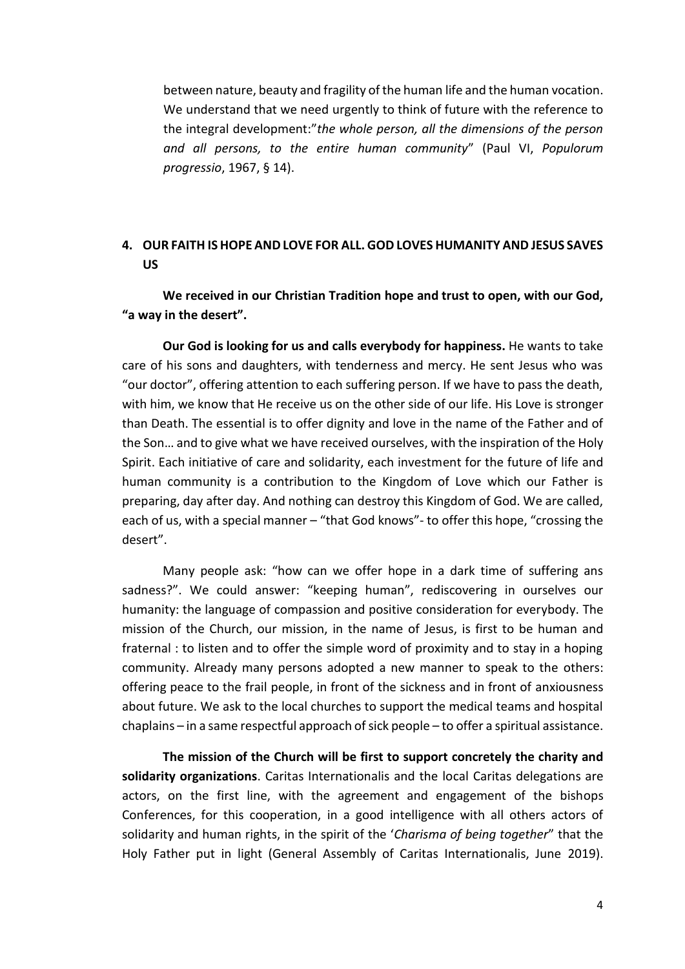between nature, beauty and fragility of the human life and the human vocation. We understand that we need urgently to think of future with the reference to the integral development:"*the whole person, all the dimensions of the person and all persons, to the entire human community*" (Paul VI, *Populorum progressio*, 1967, § 14).

## **4. OUR FAITH IS HOPE AND LOVE FOR ALL. GOD LOVES HUMANITY AND JESUS SAVES US**

**We received in our Christian Tradition hope and trust to open, with our God, "a way in the desert".**

**Our God is looking for us and calls everybody for happiness.** He wants to take care of his sons and daughters, with tenderness and mercy. He sent Jesus who was "our doctor", offering attention to each suffering person. If we have to pass the death, with him, we know that He receive us on the other side of our life. His Love is stronger than Death. The essential is to offer dignity and love in the name of the Father and of the Son… and to give what we have received ourselves, with the inspiration of the Holy Spirit. Each initiative of care and solidarity, each investment for the future of life and human community is a contribution to the Kingdom of Love which our Father is preparing, day after day. And nothing can destroy this Kingdom of God. We are called, each of us, with a special manner – "that God knows"- to offer this hope, "crossing the desert".

Many people ask: "how can we offer hope in a dark time of suffering ans sadness?". We could answer: "keeping human", rediscovering in ourselves our humanity: the language of compassion and positive consideration for everybody. The mission of the Church, our mission, in the name of Jesus, is first to be human and fraternal : to listen and to offer the simple word of proximity and to stay in a hoping community. Already many persons adopted a new manner to speak to the others: offering peace to the frail people, in front of the sickness and in front of anxiousness about future. We ask to the local churches to support the medical teams and hospital chaplains – in a same respectful approach of sick people – to offer a spiritual assistance.

**The mission of the Church will be first to support concretely the charity and solidarity organizations**. Caritas Internationalis and the local Caritas delegations are actors, on the first line, with the agreement and engagement of the bishops Conferences, for this cooperation, in a good intelligence with all others actors of solidarity and human rights, in the spirit of the '*Charisma of being together*" that the Holy Father put in light (General Assembly of Caritas Internationalis, June 2019).